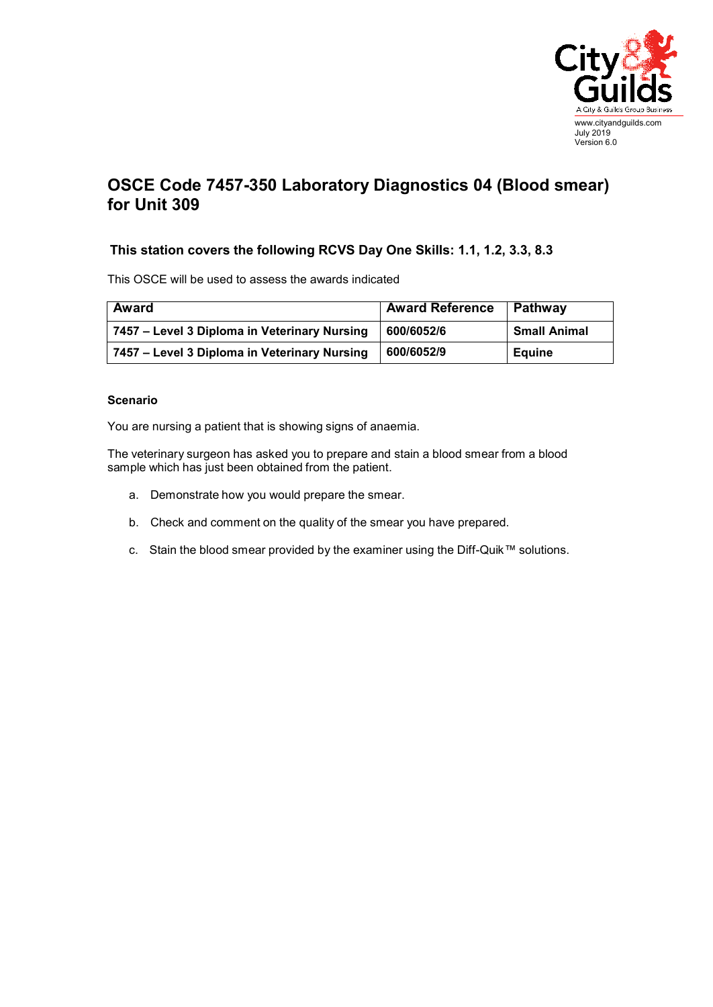

## **OSCE Code 7457-350 Laboratory Diagnostics 04 (Blood smear) for Unit 309**

## **This station covers the following RCVS Day One Skills: 1.1, 1.2, 3.3, 8.3**

This OSCE will be used to assess the awards indicated

| Award                                        | <b>Award Reference</b> | Pathway             |
|----------------------------------------------|------------------------|---------------------|
| 7457 – Level 3 Diploma in Veterinary Nursing | 600/6052/6             | <b>Small Animal</b> |
| 7457 - Level 3 Diploma in Veterinary Nursing | 600/6052/9             | Equine              |

## **Scenario**

You are nursing a patient that is showing signs of anaemia.

The veterinary surgeon has asked you to prepare and stain a blood smear from a blood sample which has just been obtained from the patient.

- a. Demonstrate how you would prepare the smear.
- b. Check and comment on the quality of the smear you have prepared.
- c. Stain the blood smear provided by the examiner using the Diff-Quik™ solutions.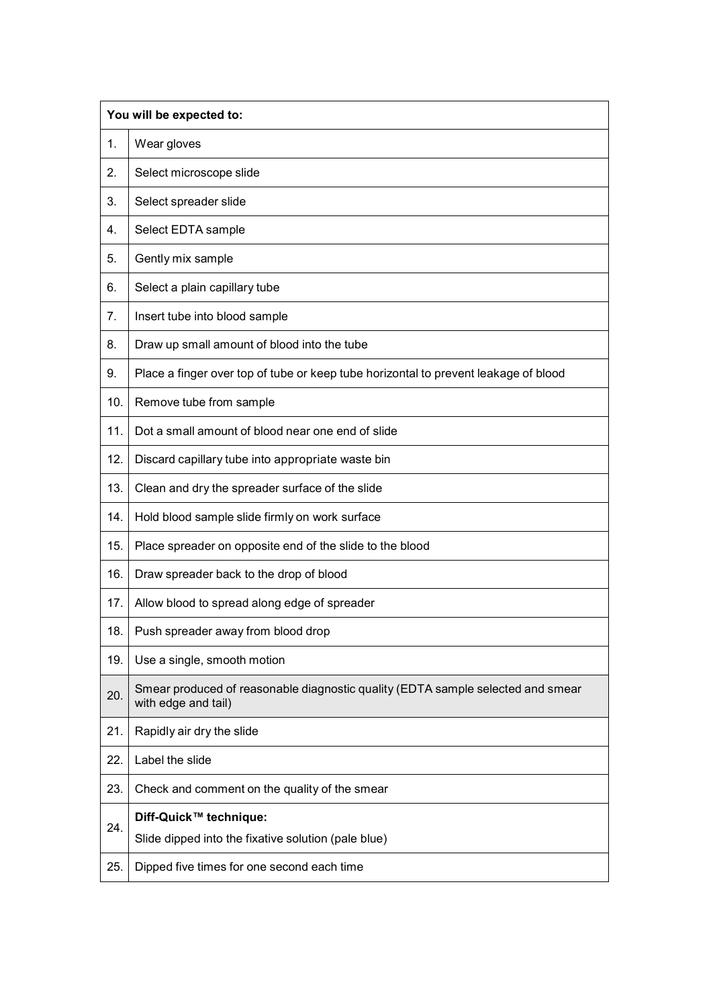|     | You will be expected to:                                                                               |  |
|-----|--------------------------------------------------------------------------------------------------------|--|
| 1.  | Wear gloves                                                                                            |  |
| 2.  | Select microscope slide                                                                                |  |
| 3.  | Select spreader slide                                                                                  |  |
| 4.  | Select EDTA sample                                                                                     |  |
| 5.  | Gently mix sample                                                                                      |  |
| 6.  | Select a plain capillary tube                                                                          |  |
| 7.  | Insert tube into blood sample                                                                          |  |
| 8.  | Draw up small amount of blood into the tube                                                            |  |
| 9.  | Place a finger over top of tube or keep tube horizontal to prevent leakage of blood                    |  |
| 10. | Remove tube from sample                                                                                |  |
| 11. | Dot a small amount of blood near one end of slide                                                      |  |
| 12. | Discard capillary tube into appropriate waste bin                                                      |  |
| 13. | Clean and dry the spreader surface of the slide                                                        |  |
| 14. | Hold blood sample slide firmly on work surface                                                         |  |
| 15. | Place spreader on opposite end of the slide to the blood                                               |  |
| 16. | Draw spreader back to the drop of blood                                                                |  |
| 17. | Allow blood to spread along edge of spreader                                                           |  |
| 18. | Push spreader away from blood drop                                                                     |  |
| 19. | Use a single, smooth motion                                                                            |  |
| 20. | Smear produced of reasonable diagnostic quality (EDTA sample selected and smear<br>with edge and tail) |  |
| 21. | Rapidly air dry the slide                                                                              |  |
| 22. | Label the slide                                                                                        |  |
| 23. | Check and comment on the quality of the smear                                                          |  |
| 24. | Diff-Quick™ technique:<br>Slide dipped into the fixative solution (pale blue)                          |  |
| 25. | Dipped five times for one second each time                                                             |  |